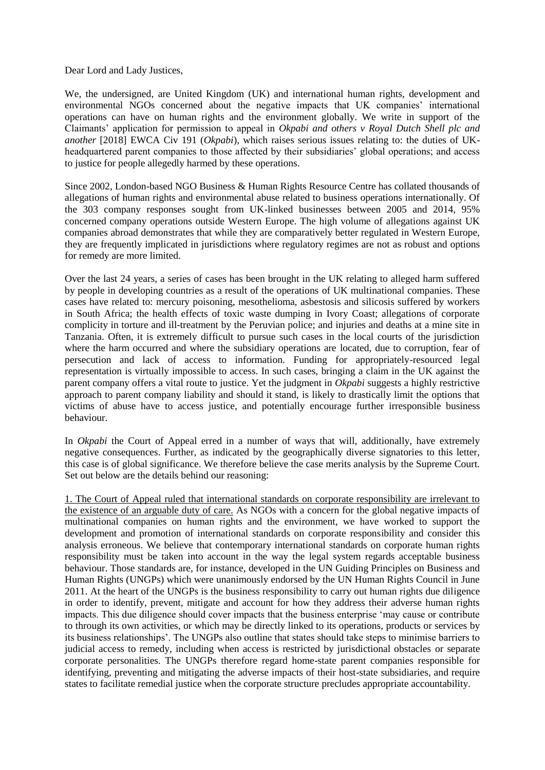Dear Lord and Lady Justices,

We, the undersigned, are United Kingdom (UK) and international human rights, development and environmental NGOs concerned about the negative impacts that UK companies' international operations can have on human rights and the environment globally. We write in support of the Claimants' application for permission to appeal in *Okpabi and others v Royal Dutch Shell plc and another* [2018] EWCA Civ 191 (*Okpabi*), which raises serious issues relating to: the duties of UKheadquartered parent companies to those affected by their subsidiaries' global operations; and access to justice for people allegedly harmed by these operations.

Since 2002, London-based NGO Business & Human Rights Resource Centre has collated thousands of allegations of human rights and environmental abuse related to business operations internationally. Of the 303 company responses sought from UK-linked businesses between 2005 and 2014, 95% concerned company operations outside Western Europe. The high volume of allegations against UK companies abroad demonstrates that while they are comparatively better regulated in Western Europe, they are frequently implicated in jurisdictions where regulatory regimes are not as robust and options for remedy are more limited.

Over the last 24 years, a series of cases has been brought in the UK relating to alleged harm suffered by people in developing countries as a result of the operations of UK multinational companies. These cases have related to: mercury poisoning, mesothelioma, asbestosis and silicosis suffered by workers in South Africa; the health effects of toxic waste dumping in Ivory Coast; allegations of corporate complicity in torture and ill-treatment by the Peruvian police; and injuries and deaths at a mine site in Tanzania. Often, it is extremely difficult to pursue such cases in the local courts of the jurisdiction where the harm occurred and where the subsidiary operations are located, due to corruption, fear of persecution and lack of access to information. Funding for appropriately-resourced legal representation is virtually impossible to access. In such cases, bringing a claim in the UK against the parent company offers a vital route to justice. Yet the judgment in *Okpabi* suggests a highly restrictive approach to parent company liability and should it stand, is likely to drastically limit the options that victims of abuse have to access justice, and potentially encourage further irresponsible business behaviour.

In *Okpabi* the Court of Appeal erred in a number of ways that will, additionally, have extremely negative consequences. Further, as indicated by the geographically diverse signatories to this letter, this case is of global significance. We therefore believe the case merits analysis by the Supreme Court. Set out below are the details behind our reasoning:

1. The Court of Appeal ruled that international standards on corporate responsibility are irrelevant to the existence of an arguable duty of care. As NGOs with a concern for the global negative impacts of multinational companies on human rights and the environment, we have worked to support the development and promotion of international standards on corporate responsibility and consider this analysis erroneous. We believe that contemporary international standards on corporate human rights responsibility must be taken into account in the way the legal system regards acceptable business behaviour. Those standards are, for instance, developed in the UN Guiding Principles on Business and Human Rights (UNGPs) which were unanimously endorsed by the UN Human Rights Council in June 2011. At the heart of the UNGPs is the business responsibility to carry out human rights due diligence in order to identify, prevent, mitigate and account for how they address their adverse human rights impacts. This due diligence should cover impacts that the business enterprise 'may cause or contribute to through its own activities, or which may be directly linked to its operations, products or services by its business relationships'. The UNGPs also outline that states should take steps to minimise barriers to judicial access to remedy, including when access is restricted by jurisdictional obstacles or separate corporate personalities. The UNGPs therefore regard home-state parent companies responsible for identifying, preventing and mitigating the adverse impacts of their host-state subsidiaries, and require states to facilitate remedial justice when the corporate structure precludes appropriate accountability.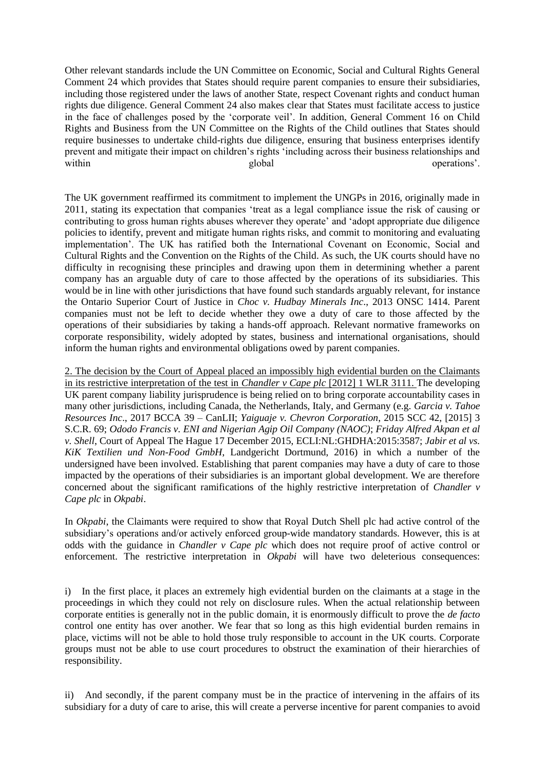Other relevant standards include the UN Committee on Economic, Social and Cultural Rights General Comment 24 which provides that States should require parent companies to ensure their subsidiaries, including those registered under the laws of another State, respect Covenant rights and conduct human rights due diligence. General Comment 24 also makes clear that States must facilitate access to justice in the face of challenges posed by the 'corporate veil'. In addition, General Comment 16 on Child Rights and Business from the UN Committee on the Rights of the Child outlines that States should require businesses to undertake child-rights due diligence, ensuring that business enterprises identify prevent and mitigate their impact on children's rights 'including across their business relationships and within global global operations'.

The UK government reaffirmed its commitment to implement the UNGPs in 2016, originally made in 2011, stating its expectation that companies 'treat as a legal compliance issue the risk of causing or contributing to gross human rights abuses wherever they operate' and 'adopt appropriate due diligence policies to identify, prevent and mitigate human rights risks, and commit to monitoring and evaluating implementation'. The UK has ratified both the International Covenant on Economic, Social and Cultural Rights and the Convention on the Rights of the Child. As such, the UK courts should have no difficulty in recognising these principles and drawing upon them in determining whether a parent company has an arguable duty of care to those affected by the operations of its subsidiaries. This would be in line with other jurisdictions that have found such standards arguably relevant, for instance the Ontario Superior Court of Justice in *Choc v. Hudbay Minerals Inc*., 2013 ONSC 1414. Parent companies must not be left to decide whether they owe a duty of care to those affected by the operations of their subsidiaries by taking a hands-off approach. Relevant normative frameworks on corporate responsibility, widely adopted by states, business and international organisations, should inform the human rights and environmental obligations owed by parent companies.

2. The decision by the Court of Appeal placed an impossibly high evidential burden on the Claimants in its restrictive interpretation of the test in *Chandler v Cape plc* [2012] 1 WLR 3111. The developing UK parent company liability jurisprudence is being relied on to bring corporate accountability cases in many other jurisdictions, including Canada, the Netherlands, Italy, and Germany (e.g. *Garcia v. Tahoe Resources Inc*., 2017 BCCA 39 – CanLII; *Yaiguaje v. Chevron Corporation*, 2015 SCC 42, [2015] 3 S.C.R. 69; *Ododo Francis v. ENI and Nigerian Agip Oil Company (NAOC)*; *Friday Alfred Akpan et al v. Shell*, Court of Appeal The Hague 17 December 2015, ECLI:NL:GHDHA:2015:3587; *Jabir et al vs. KiK Textilien und Non-Food GmbH*, Landgericht Dortmund, 2016) in which a number of the undersigned have been involved. Establishing that parent companies may have a duty of care to those impacted by the operations of their subsidiaries is an important global development. We are therefore concerned about the significant ramifications of the highly restrictive interpretation of *Chandler v Cape plc* in *Okpabi*.

In *Okpabi*, the Claimants were required to show that Royal Dutch Shell plc had active control of the subsidiary's operations and/or actively enforced group-wide mandatory standards. However, this is at odds with the guidance in *Chandler v Cape plc* which does not require proof of active control or enforcement. The restrictive interpretation in *Okpabi* will have two deleterious consequences:

i) In the first place, it places an extremely high evidential burden on the claimants at a stage in the proceedings in which they could not rely on disclosure rules. When the actual relationship between corporate entities is generally not in the public domain, it is enormously difficult to prove the *de facto* control one entity has over another. We fear that so long as this high evidential burden remains in place, victims will not be able to hold those truly responsible to account in the UK courts. Corporate groups must not be able to use court procedures to obstruct the examination of their hierarchies of responsibility.

ii) And secondly, if the parent company must be in the practice of intervening in the affairs of its subsidiary for a duty of care to arise, this will create a perverse incentive for parent companies to avoid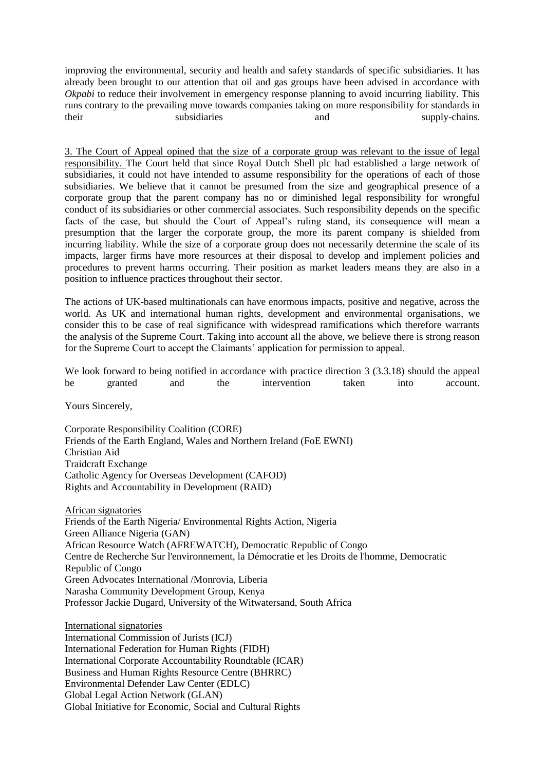improving the environmental, security and health and safety standards of specific subsidiaries. It has already been brought to our attention that oil and gas groups have been advised in accordance with *Okpabi* to reduce their involvement in emergency response planning to avoid incurring liability. This runs contrary to the prevailing move towards companies taking on more responsibility for standards in their subsidiaries and supply-chains.

3. The Court of Appeal opined that the size of a corporate group was relevant to the issue of legal responsibility. The Court held that since Royal Dutch Shell plc had established a large network of subsidiaries, it could not have intended to assume responsibility for the operations of each of those subsidiaries. We believe that it cannot be presumed from the size and geographical presence of a corporate group that the parent company has no or diminished legal responsibility for wrongful conduct of its subsidiaries or other commercial associates. Such responsibility depends on the specific facts of the case, but should the Court of Appeal's ruling stand, its consequence will mean a presumption that the larger the corporate group, the more its parent company is shielded from incurring liability. While the size of a corporate group does not necessarily determine the scale of its impacts, larger firms have more resources at their disposal to develop and implement policies and procedures to prevent harms occurring. Their position as market leaders means they are also in a position to influence practices throughout their sector.

The actions of UK-based multinationals can have enormous impacts, positive and negative, across the world. As UK and international human rights, development and environmental organisations, we consider this to be case of real significance with widespread ramifications which therefore warrants the analysis of the Supreme Court. Taking into account all the above, we believe there is strong reason for the Supreme Court to accept the Claimants' application for permission to appeal.

We look forward to being notified in accordance with practice direction 3 (3.3.18) should the appeal be granted and the intervention taken into account.

Yours Sincerely,

Corporate Responsibility Coalition (CORE) Friends of the Earth England, Wales and Northern Ireland (FoE EWNI) Christian Aid Traidcraft Exchange Catholic Agency for Overseas Development (CAFOD) Rights and Accountability in Development (RAID)

African signatories Friends of the Earth Nigeria/ Environmental Rights Action, Nigeria Green Alliance Nigeria (GAN) African Resource Watch (AFREWATCH), Democratic Republic of Congo Centre de Recherche Sur l'environnement, la Démocratie et les Droits de l'homme, Democratic Republic of Congo Green Advocates International /Monrovia, Liberia Narasha Community Development Group, Kenya Professor Jackie Dugard, University of the Witwatersand, South Africa

International signatories International Commission of Jurists (ICJ) International Federation for Human Rights (FIDH) International Corporate Accountability Roundtable (ICAR) Business and Human Rights Resource Centre (BHRRC) Environmental Defender Law Center (EDLC) Global Legal Action Network (GLAN) Global Initiative for Economic, Social and Cultural Rights